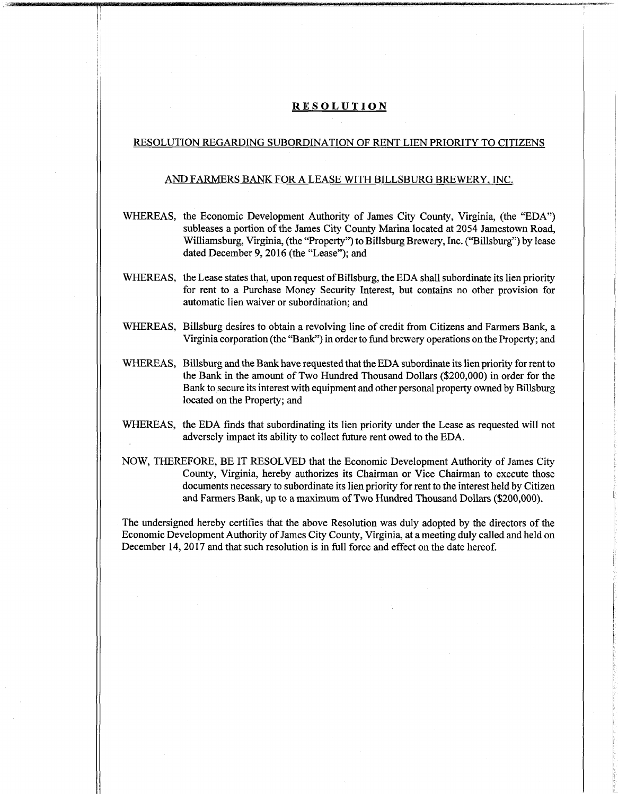### **RESOLUTION**

## RESOLUTION REGARDING SUBORDINATION OF RENT LIEN PRIORITY TO CITIZENS

## AND FARMERS BANK FOR A LEASE WITH BILLSBURG BREWERY. INC.

- WHEREAS, the Economic Development Authority of James City County, Virginia, (the "EDA") subleases a portion of the James City County Marina located at 2054 Jamestown Road, Williamsburg, Virginia, (the "Property") to Billsburg Brewery, Inc. ("Billsburg") by lease dated December 9, 2016 (the "Lease"); and
- WHEREAS, the Lease states that, upon request of Billsburg, the EDA shall subordinate its lien priority for rent to a Purchase Money Security Interest, but contains no other provision for automatic lien waiver or subordination; and
- WHEREAS, Billsburg desires to obtain a revolving line of credit from Citizens and Farmers Bank, a Virginia corporation (the "Bank") in order to fund brewery operations on the Property; and
- WHEREAS, Billsburg and the Bank have requested that the EDA subordinate its lien priority for rent to the Bank in the amount of Two Hundred Thousand Dollars (\$200,000) in order for the Bank to secure its interest with equipment and other personal property owned by Billsburg located on the Property; and
- WHEREAS, the EDA finds that subordinating its lien priority under the Lease as requested will not adversely impact its ability to collect future rent owed to the EDA.
- NOW, THEREFORE, BE IT RESOLVED that the Economic Development Authority of James City County, Virginia, hereby authorizes its Chairman or Vice Chairman to execute those documents necessary to subordinate its lien priority for rent to the interest held by Citizen and Farmers Bank, up to a maximum ofTwo Hundred Thousand Dollars (\$200,000).

The undersigned hereby certifies that the above Resolution was duly adopted by the directors ofthe Economic Development Authority of James City County, Virginia, at a meeting duly called and held on December 14, 2017 and that such resolution is in full force and effect on the date hereof.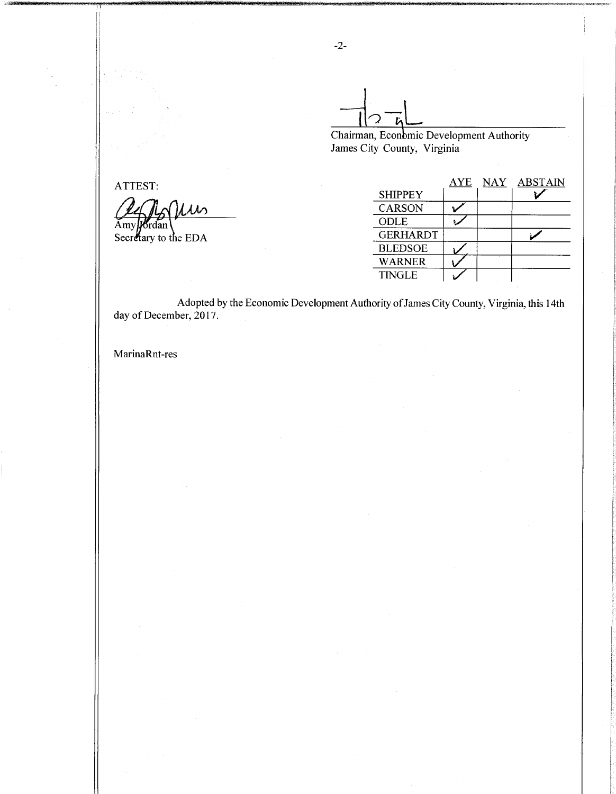**Increment Chairman, Economic Development Authority** 

James City County, Virginia

| ATTEST:              |                 |  | AYE NAY ABSTAIN |
|----------------------|-----------------|--|-----------------|
|                      | <b>SHIPPEY</b>  |  |                 |
| Ilin                 | <b>CARSON</b>   |  |                 |
| AmyJ                 | ODLE            |  |                 |
| Secretary to the EDA | <b>GERHARDT</b> |  |                 |
|                      | <b>BLEDSOE</b>  |  |                 |
|                      | <b>WARNER</b>   |  |                 |
|                      | <b>TINGLE</b>   |  |                 |
|                      |                 |  |                 |

Adopted by the Economic Development Authority of James City County, Virginia, this 14th day of December, 2017.

MarinaRnt-res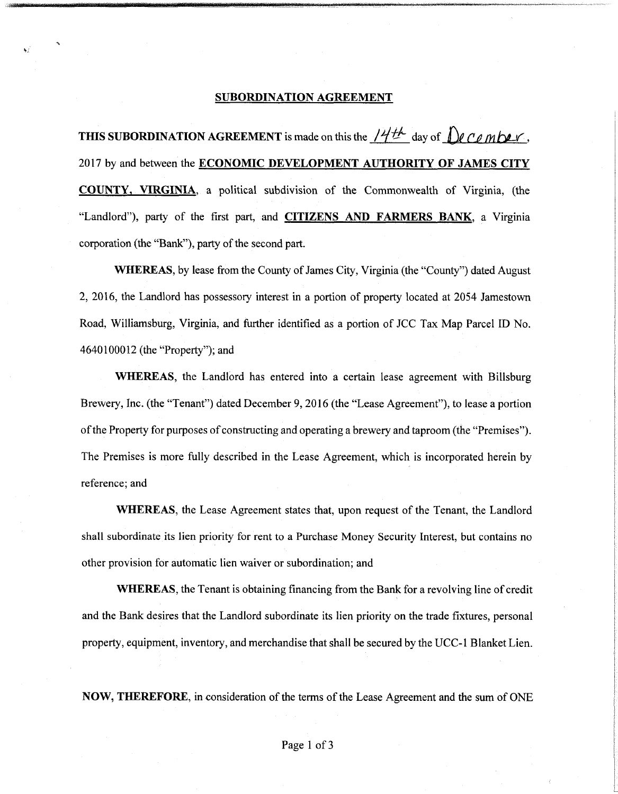#### **SUBORDINATION AGREEMENT**

**THIS SUBORDINATION AGREEMENT** is made on this the  $\frac{144}{}$  day of  $\int$  *C<sub>0</sub> mbev*, 2017 by and between the **ECONOMIC DEVELOPMENT AUTHORITY OF JAMES CITY COUNTY, VIRGINIA,** a political subdivision of the Commonwealth of Virginia, (the Landlord"), party of the first part, and **CITIZENS AND FARMERS BANK,** a Virginia corporation (the "Bank"), party of the second part.

**WHEREAS,** by lease from the County of James City, Virginia (the "County") dated August 2, 2016, the Landlord has possessory interest in a portion of property located at 2054 Jamestown Road, Williamsburg, Virginia, and further identified as a portion of JCC Tax Map Parcel ID No. 4640100012 (the "Property"); and

**WHEREAS,** the Landlord has entered into a certain lease agreement with Billsburg Brewery, Inc. (the "Tenant") dated December 9, 2016 (the "Lease Agreement"), to lease a portion of the Property for purposes of constructing and operating a brewery and taproom (the "Premises"). The Premises is more fully described in the Lease Agreement, which is incorporated herein by reference; and

**WHEREAS,** the Lease Agreement states that, upon request of the Tenant, the Landlord shall subordinate its lien priority for rent to a Purchase Money Security Interest, but contains no other provision for automatic lien waiver or subordination; and

**WHEREAS,** the Tenant is obtaining financing from the Bank for a revolving line of credit and the Bank desires that the Landlord subordinate its lien priority on the trade fixtures, personal property, equipment, inventory, and merchandise that shall be secured by the UCC-1 Blanket Lien.

**NOW, THEREFORE**, in consideration of the terms of the Lease Agreement and the sum of ONE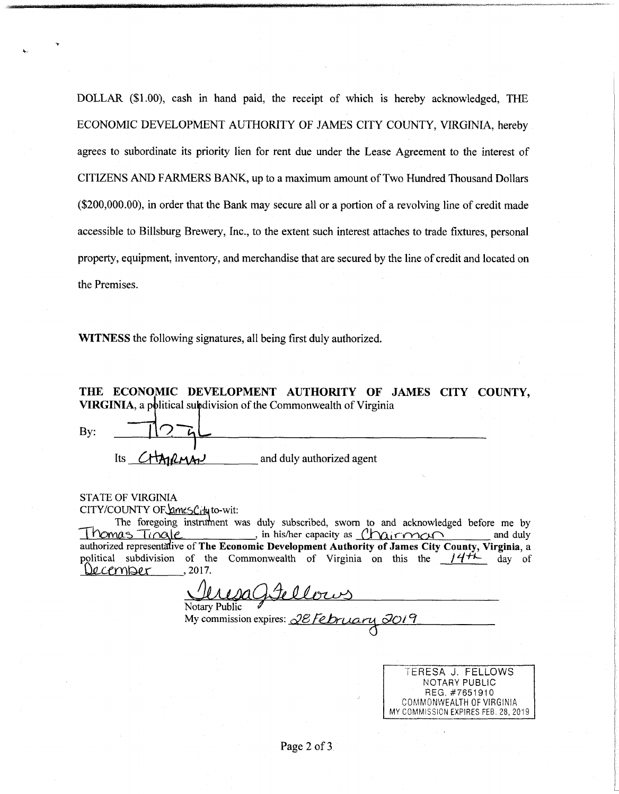DOLLAR (\$1.00), cash in hand paid, the receipt of which is hereby acknowledged, THE ECONOMIC DEVELOPMENT AUTHORITY OF JAMES CITY COUNTY, VIRGINIA, hereby agrees to subordinate its priority lien for rent due under the Lease Agreement to the interest of CITIZENS AND FARMERS BANK, up to a maximum amount ofTwo Hundred Thousand Dollars (\$200,000.00), in order that the Bank may secure all or a portion of a revolving line of credit made accessible to Billsburg Brewery, Inc., to the extent such interest attaches to trade fixtures, personal property, equipment, inventory, and merchandise that are secured by the line of credit and located on the Premises.

WITNESS the following signatures, all being first duly authorized.

THE ECONOMIC DEVELOPMENT AUTHORITY OF JAMES CITY COUNTY, VIRGINIA, a political subdivision of the Commonwealth of Virginia

By: **11^**

| Its CHAPLMAN | and duly authorized agent |  |
|--------------|---------------------------|--|
|              |                           |  |

# STATE OF VIRGINIA

CITY/COUNTY OF ames City to-wit:

The foregoing instrument was duly subscribed, sworn to and acknowledged before me by  $T_1$  Time  $\ell$  , in his/her capacity as  $\ell$   $\ell$  irms in  $\ell$  is  $\ell$  in  $\ell$  is  $\ell$  in  $\ell$  is  $\ell$  in  $\ell$  is  $\ell$  in  $\ell$  is  $\ell$  is  $\ell$  is  $\ell$  is  $\ell$  is  $\ell$  is  $\ell$  is  $\ell$  is  $\ell$  is  $\ell$  is  $\ell$  is  $\ell$  is  $\ell$ authorized representative of The Economic Development Authority of James City County, Virginia, a political subdivision of the Commonwealth of Virginia on this the  $14\frac{H}{V}$ <br>Queen Section 2017.  $Decemper$ and duly day of

Notary Public *\**

 $My$  commission expires:  $\sqrt{2E/Fe}$ *P* $\sim$ *P* $\sim$ *P* 

**TERESA J. FELLOWS** NOTARY **PUBLIC** REG. #7651910 COMMONWEALTH OF VIRGINIA MY COMMISSION EXPIRES FEB. 28. 2019